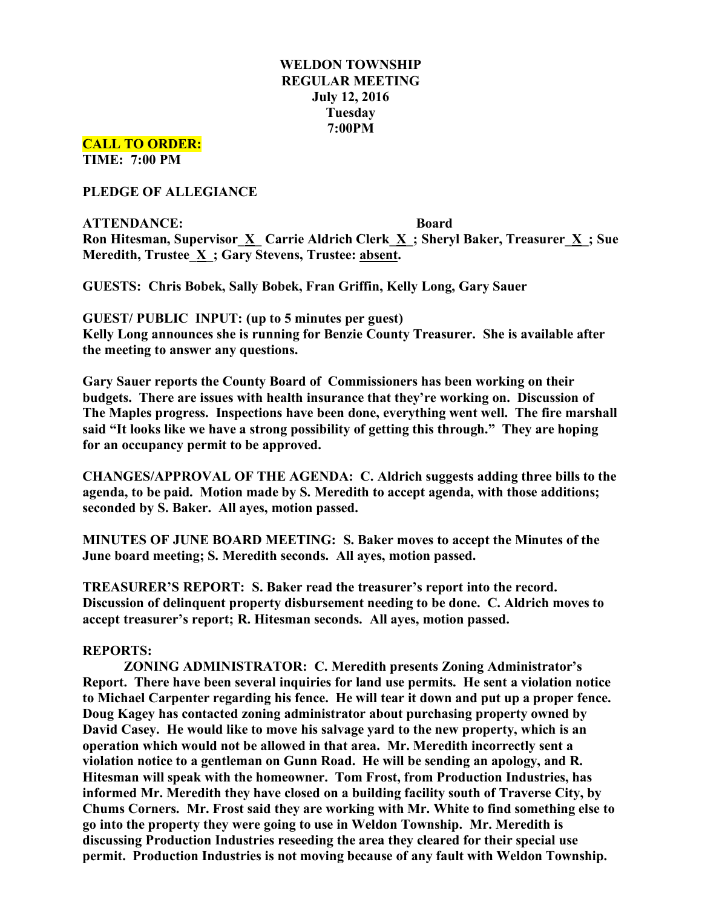## **WELDON TOWNSHIP REGULAR MEETING July 12, 2016 Tuesday 7:00PM**

# **CALL TO ORDER:**

**TIME: 7:00 PM**

## **PLEDGE OF ALLEGIANCE**

## **ATTENDANCE: Board Ron Hitesman, Supervisor\_X\_ Carrie Aldrich Clerk\_X\_; Sheryl Baker, Treasurer\_X\_; Sue Meredith, Trustee\_X\_; Gary Stevens, Trustee: absent.**

**GUESTS: Chris Bobek, Sally Bobek, Fran Griffin, Kelly Long, Gary Sauer**

**GUEST/ PUBLIC INPUT: (up to 5 minutes per guest) Kelly Long announces she is running for Benzie County Treasurer. She is available after the meeting to answer any questions.**

**Gary Sauer reports the County Board of Commissioners has been working on their budgets. There are issues with health insurance that they're working on. Discussion of The Maples progress. Inspections have been done, everything went well. The fire marshall said "It looks like we have a strong possibility of getting this through." They are hoping for an occupancy permit to be approved.**

**CHANGES/APPROVAL OF THE AGENDA: C. Aldrich suggests adding three bills to the agenda, to be paid. Motion made by S. Meredith to accept agenda, with those additions; seconded by S. Baker. All ayes, motion passed.**

**MINUTES OF JUNE BOARD MEETING: S. Baker moves to accept the Minutes of the June board meeting; S. Meredith seconds. All ayes, motion passed.**

**TREASURER'S REPORT: S. Baker read the treasurer's report into the record. Discussion of delinquent property disbursement needing to be done. C. Aldrich moves to accept treasurer's report; R. Hitesman seconds. All ayes, motion passed.**

## **REPORTS:**

**ZONING ADMINISTRATOR: C. Meredith presents Zoning Administrator's Report. There have been several inquiries for land use permits. He sent a violation notice to Michael Carpenter regarding his fence. He will tear it down and put up a proper fence. Doug Kagey has contacted zoning administrator about purchasing property owned by David Casey. He would like to move his salvage yard to the new property, which is an operation which would not be allowed in that area. Mr. Meredith incorrectly sent a violation notice to a gentleman on Gunn Road. He will be sending an apology, and R. Hitesman will speak with the homeowner. Tom Frost, from Production Industries, has informed Mr. Meredith they have closed on a building facility south of Traverse City, by Chums Corners. Mr. Frost said they are working with Mr. White to find something else to go into the property they were going to use in Weldon Township. Mr. Meredith is discussing Production Industries reseeding the area they cleared for their special use permit. Production Industries is not moving because of any fault with Weldon Township.**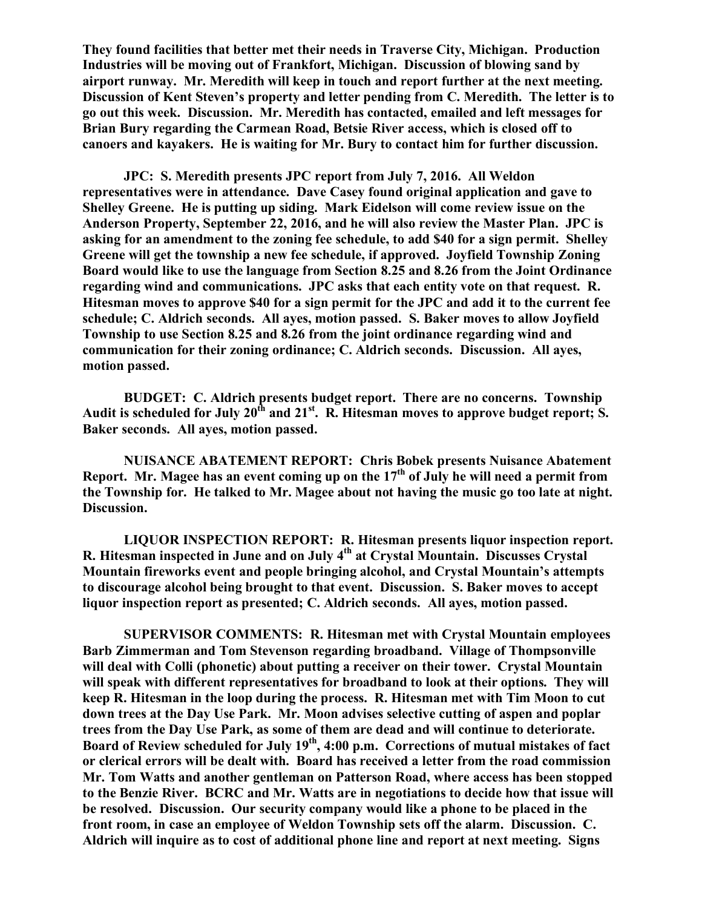**They found facilities that better met their needs in Traverse City, Michigan. Production Industries will be moving out of Frankfort, Michigan. Discussion of blowing sand by airport runway. Mr. Meredith will keep in touch and report further at the next meeting. Discussion of Kent Steven's property and letter pending from C. Meredith. The letter is to go out this week. Discussion. Mr. Meredith has contacted, emailed and left messages for Brian Bury regarding the Carmean Road, Betsie River access, which is closed off to canoers and kayakers. He is waiting for Mr. Bury to contact him for further discussion.**

**JPC: S. Meredith presents JPC report from July 7, 2016. All Weldon representatives were in attendance. Dave Casey found original application and gave to Shelley Greene. He is putting up siding. Mark Eidelson will come review issue on the Anderson Property, September 22, 2016, and he will also review the Master Plan. JPC is asking for an amendment to the zoning fee schedule, to add \$40 for a sign permit. Shelley Greene will get the township a new fee schedule, if approved. Joyfield Township Zoning Board would like to use the language from Section 8.25 and 8.26 from the Joint Ordinance regarding wind and communications. JPC asks that each entity vote on that request. R. Hitesman moves to approve \$40 for a sign permit for the JPC and add it to the current fee schedule; C. Aldrich seconds. All ayes, motion passed. S. Baker moves to allow Joyfield Township to use Section 8.25 and 8.26 from the joint ordinance regarding wind and communication for their zoning ordinance; C. Aldrich seconds. Discussion. All ayes, motion passed.**

**BUDGET: C. Aldrich presents budget report. There are no concerns. Township Audit is scheduled for July 20th and 21st . R. Hitesman moves to approve budget report; S. Baker seconds. All ayes, motion passed.**

**NUISANCE ABATEMENT REPORT: Chris Bobek presents Nuisance Abatement Report. Mr. Magee has an event coming up on the 17th of July he will need a permit from the Township for. He talked to Mr. Magee about not having the music go too late at night. Discussion.**

**LIQUOR INSPECTION REPORT: R. Hitesman presents liquor inspection report. R. Hitesman inspected in June and on July 4th at Crystal Mountain. Discusses Crystal Mountain fireworks event and people bringing alcohol, and Crystal Mountain's attempts to discourage alcohol being brought to that event. Discussion. S. Baker moves to accept liquor inspection report as presented; C. Aldrich seconds. All ayes, motion passed.**

**SUPERVISOR COMMENTS: R. Hitesman met with Crystal Mountain employees Barb Zimmerman and Tom Stevenson regarding broadband. Village of Thompsonville will deal with Colli (phonetic) about putting a receiver on their tower. Crystal Mountain will speak with different representatives for broadband to look at their options. They will keep R. Hitesman in the loop during the process. R. Hitesman met with Tim Moon to cut down trees at the Day Use Park. Mr. Moon advises selective cutting of aspen and poplar trees from the Day Use Park, as some of them are dead and will continue to deteriorate. Board of Review scheduled for July 19th, 4:00 p.m. Corrections of mutual mistakes of fact or clerical errors will be dealt with. Board has received a letter from the road commission Mr. Tom Watts and another gentleman on Patterson Road, where access has been stopped to the Benzie River. BCRC and Mr. Watts are in negotiations to decide how that issue will be resolved. Discussion. Our security company would like a phone to be placed in the front room, in case an employee of Weldon Township sets off the alarm. Discussion. C. Aldrich will inquire as to cost of additional phone line and report at next meeting. Signs**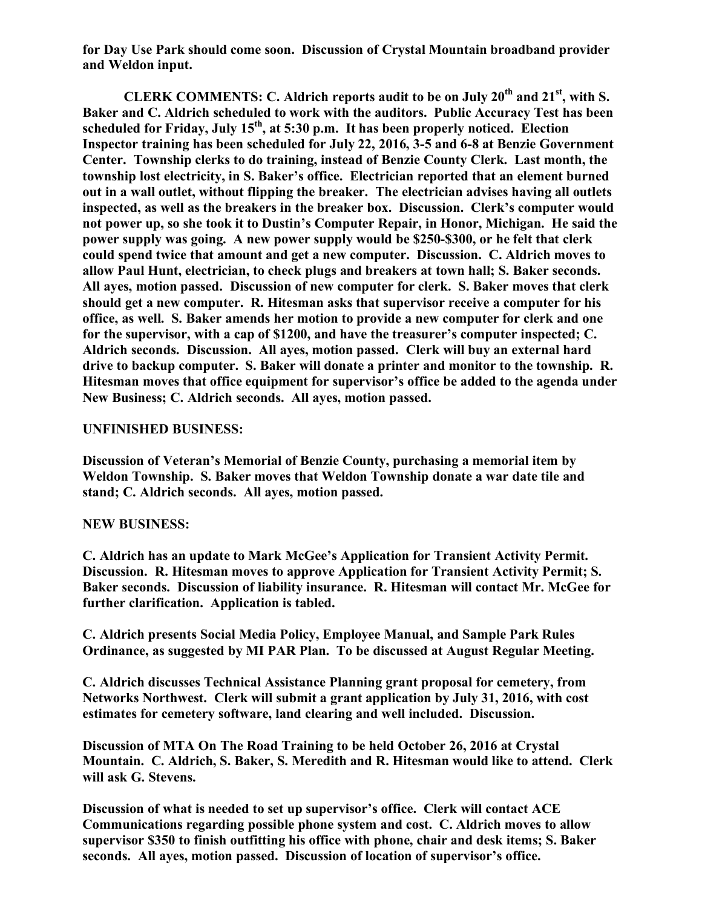**for Day Use Park should come soon. Discussion of Crystal Mountain broadband provider and Weldon input.**

**CLERK COMMENTS: C. Aldrich reports audit to be on July 20th and 21st , with S. Baker and C. Aldrich scheduled to work with the auditors. Public Accuracy Test has been scheduled for Friday, July 15th, at 5:30 p.m. It has been properly noticed. Election Inspector training has been scheduled for July 22, 2016, 3-5 and 6-8 at Benzie Government Center. Township clerks to do training, instead of Benzie County Clerk. Last month, the township lost electricity, in S. Baker's office. Electrician reported that an element burned out in a wall outlet, without flipping the breaker. The electrician advises having all outlets inspected, as well as the breakers in the breaker box. Discussion. Clerk's computer would not power up, so she took it to Dustin's Computer Repair, in Honor, Michigan. He said the power supply was going. A new power supply would be \$250-\$300, or he felt that clerk could spend twice that amount and get a new computer. Discussion. C. Aldrich moves to allow Paul Hunt, electrician, to check plugs and breakers at town hall; S. Baker seconds. All ayes, motion passed. Discussion of new computer for clerk. S. Baker moves that clerk should get a new computer. R. Hitesman asks that supervisor receive a computer for his office, as well. S. Baker amends her motion to provide a new computer for clerk and one for the supervisor, with a cap of \$1200, and have the treasurer's computer inspected; C. Aldrich seconds. Discussion. All ayes, motion passed. Clerk will buy an external hard drive to backup computer. S. Baker will donate a printer and monitor to the township. R. Hitesman moves that office equipment for supervisor's office be added to the agenda under New Business; C. Aldrich seconds. All ayes, motion passed.**

## **UNFINISHED BUSINESS:**

**Discussion of Veteran's Memorial of Benzie County, purchasing a memorial item by Weldon Township. S. Baker moves that Weldon Township donate a war date tile and stand; C. Aldrich seconds. All ayes, motion passed.**

#### **NEW BUSINESS:**

**C. Aldrich has an update to Mark McGee's Application for Transient Activity Permit. Discussion. R. Hitesman moves to approve Application for Transient Activity Permit; S. Baker seconds. Discussion of liability insurance. R. Hitesman will contact Mr. McGee for further clarification. Application is tabled.**

**C. Aldrich presents Social Media Policy, Employee Manual, and Sample Park Rules Ordinance, as suggested by MI PAR Plan. To be discussed at August Regular Meeting.**

**C. Aldrich discusses Technical Assistance Planning grant proposal for cemetery, from Networks Northwest. Clerk will submit a grant application by July 31, 2016, with cost estimates for cemetery software, land clearing and well included. Discussion.**

**Discussion of MTA On The Road Training to be held October 26, 2016 at Crystal Mountain. C. Aldrich, S. Baker, S. Meredith and R. Hitesman would like to attend. Clerk will ask G. Stevens.**

**Discussion of what is needed to set up supervisor's office. Clerk will contact ACE Communications regarding possible phone system and cost. C. Aldrich moves to allow supervisor \$350 to finish outfitting his office with phone, chair and desk items; S. Baker seconds. All ayes, motion passed. Discussion of location of supervisor's office.**